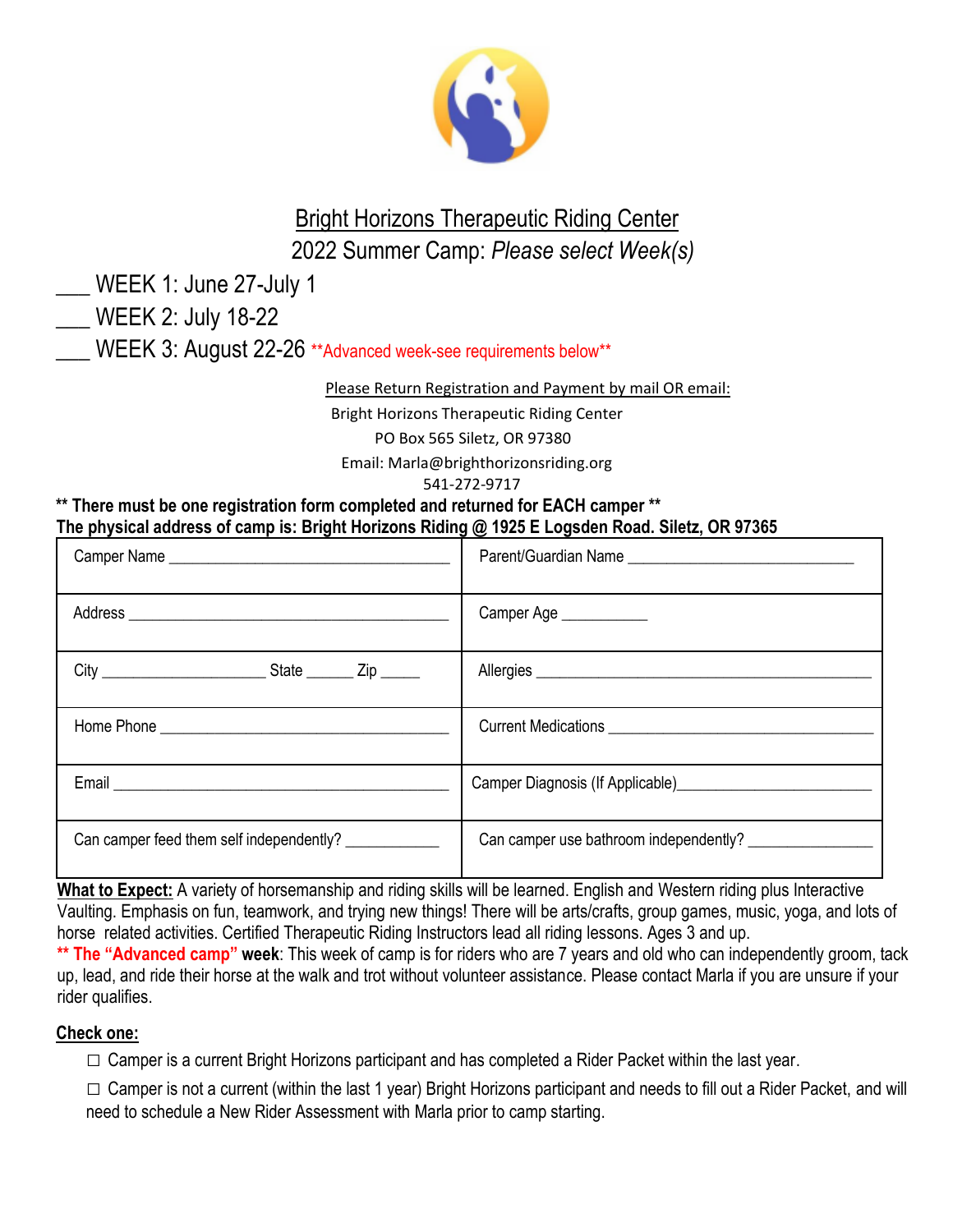

# Bright Horizons Therapeutic Riding Center 2022 Summer Camp: *Please select Week(s)*

\_\_\_ WEEK 1: June 27-July 1

\_\_\_ WEEK 2: July 18-22

WEEK 3: August 22-26 \*\*Advanced week-see requirements below\*\*

Please Return Registration and Payment by mail OR email:

Bright Horizons Therapeutic Riding Center

PO Box 565 Siletz, OR 97380

Email: Marla@brighthorizonsriding.org

541-272-9717

**\*\* There must be one registration form completed and returned for EACH camper \*\* The physical address of camp is: Bright Horizons Riding @ 1925 E Logsden Road. Siletz, OR 97365**

|                                                        | Parent/Guardian Name                   |
|--------------------------------------------------------|----------------------------------------|
|                                                        | Camper Age ___________                 |
|                                                        | Allergies                              |
|                                                        |                                        |
|                                                        |                                        |
| Can camper feed them self independently? _____________ | Can camper use bathroom independently? |

**What to Expect:** A variety of horsemanship and riding skills will be learned. English and Western riding plus Interactive Vaulting. Emphasis on fun, teamwork, and trying new things! There will be arts/crafts, group games, music, yoga, and lots of horse related activities. Certified Therapeutic Riding Instructors lead all riding lessons. Ages 3 and up.

**\*\* The "Advanced camp" week**: This week of camp is for riders who are 7 years and old who can independently groom, tack up, lead, and ride their horse at the walk and trot without volunteer assistance. Please contact Marla if you are unsure if your rider qualifies.

#### **Check one:**

 $\square$  Camper is a current Bright Horizons participant and has completed a Rider Packet within the last year.

 $\square$  Camper is not a current (within the last 1 year) Bright Horizons participant and needs to fill out a Rider Packet, and will need to schedule a New Rider Assessment with Marla prior to camp starting.